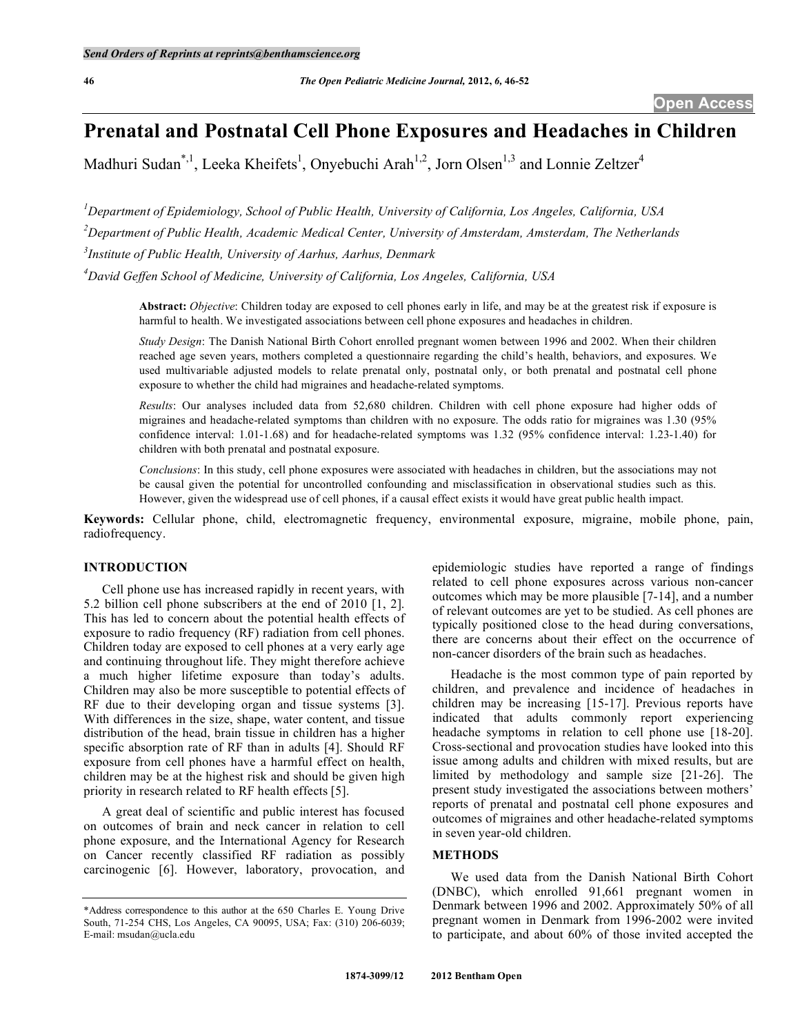# **Prenatal and Postnatal Cell Phone Exposures and Headaches in Children**

Madhuri Sudan<sup>\*,1</sup>, Leeka Kheifets<sup>1</sup>, Onyebuchi Arah<sup>1,2</sup>, Jorn Olsen<sup>1,3</sup> and Lonnie Zeltzer<sup>4</sup>

*1 Department of Epidemiology, School of Public Health, University of California, Los Angeles, California, USA 2 Department of Public Health, Academic Medical Center, University of Amsterdam, Amsterdam, The Netherlands 3 Institute of Public Health, University of Aarhus, Aarhus, Denmark* 

*4 David Geffen School of Medicine, University of California, Los Angeles, California, USA* 

**Abstract:** *Objective*: Children today are exposed to cell phones early in life, and may be at the greatest risk if exposure is harmful to health. We investigated associations between cell phone exposures and headaches in children.

*Study Design*: The Danish National Birth Cohort enrolled pregnant women between 1996 and 2002. When their children reached age seven years, mothers completed a questionnaire regarding the child's health, behaviors, and exposures. We used multivariable adjusted models to relate prenatal only, postnatal only, or both prenatal and postnatal cell phone exposure to whether the child had migraines and headache-related symptoms.

*Results*: Our analyses included data from 52,680 children. Children with cell phone exposure had higher odds of migraines and headache-related symptoms than children with no exposure. The odds ratio for migraines was 1.30 (95% confidence interval: 1.01-1.68) and for headache-related symptoms was 1.32 (95% confidence interval: 1.23-1.40) for children with both prenatal and postnatal exposure.

*Conclusions*: In this study, cell phone exposures were associated with headaches in children, but the associations may not be causal given the potential for uncontrolled confounding and misclassification in observational studies such as this. However, given the widespread use of cell phones, if a causal effect exists it would have great public health impact.

**Keywords:** Cellular phone, child, electromagnetic frequency, environmental exposure, migraine, mobile phone, pain, radiofrequency.

# **INTRODUCTION**

 Cell phone use has increased rapidly in recent years, with 5.2 billion cell phone subscribers at the end of 2010 [1, 2]. This has led to concern about the potential health effects of exposure to radio frequency (RF) radiation from cell phones. Children today are exposed to cell phones at a very early age and continuing throughout life. They might therefore achieve a much higher lifetime exposure than today's adults. Children may also be more susceptible to potential effects of RF due to their developing organ and tissue systems [3]. With differences in the size, shape, water content, and tissue distribution of the head, brain tissue in children has a higher specific absorption rate of RF than in adults [4]. Should RF exposure from cell phones have a harmful effect on health, children may be at the highest risk and should be given high priority in research related to RF health effects [5].

 A great deal of scientific and public interest has focused on outcomes of brain and neck cancer in relation to cell phone exposure, and the International Agency for Research on Cancer recently classified RF radiation as possibly carcinogenic [6]. However, laboratory, provocation, and

epidemiologic studies have reported a range of findings related to cell phone exposures across various non-cancer outcomes which may be more plausible [7-14], and a number of relevant outcomes are yet to be studied. As cell phones are typically positioned close to the head during conversations, there are concerns about their effect on the occurrence of non-cancer disorders of the brain such as headaches.

 Headache is the most common type of pain reported by children, and prevalence and incidence of headaches in children may be increasing [15-17]. Previous reports have indicated that adults commonly report experiencing headache symptoms in relation to cell phone use [18-20]. Cross-sectional and provocation studies have looked into this issue among adults and children with mixed results, but are limited by methodology and sample size [21-26]. The present study investigated the associations between mothers' reports of prenatal and postnatal cell phone exposures and outcomes of migraines and other headache-related symptoms in seven year-old children.

# **METHODS**

 We used data from the Danish National Birth Cohort (DNBC), which enrolled 91,661 pregnant women in Denmark between 1996 and 2002. Approximately 50% of all pregnant women in Denmark from 1996-2002 were invited to participate, and about 60% of those invited accepted the

<sup>\*</sup>Address correspondence to this author at the 650 Charles E. Young Drive South, 71-254 CHS, Los Angeles, CA 90095, USA; Fax: (310) 206-6039; E-mail: msudan@ucla.edu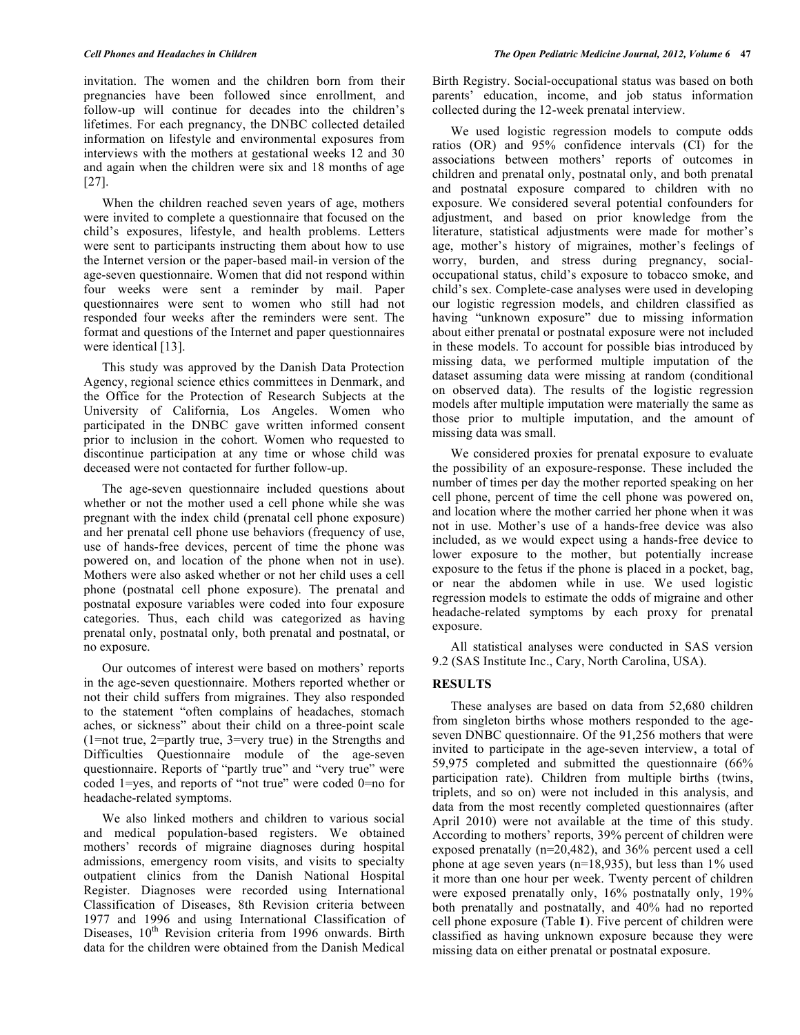invitation. The women and the children born from their pregnancies have been followed since enrollment, and follow-up will continue for decades into the children's lifetimes. For each pregnancy, the DNBC collected detailed information on lifestyle and environmental exposures from interviews with the mothers at gestational weeks 12 and 30 and again when the children were six and 18 months of age [27].

 When the children reached seven years of age, mothers were invited to complete a questionnaire that focused on the child's exposures, lifestyle, and health problems. Letters were sent to participants instructing them about how to use the Internet version or the paper-based mail-in version of the age-seven questionnaire. Women that did not respond within four weeks were sent a reminder by mail. Paper questionnaires were sent to women who still had not responded four weeks after the reminders were sent. The format and questions of the Internet and paper questionnaires were identical [13].

 This study was approved by the Danish Data Protection Agency, regional science ethics committees in Denmark, and the Office for the Protection of Research Subjects at the University of California, Los Angeles. Women who participated in the DNBC gave written informed consent prior to inclusion in the cohort. Women who requested to discontinue participation at any time or whose child was deceased were not contacted for further follow-up.

 The age-seven questionnaire included questions about whether or not the mother used a cell phone while she was pregnant with the index child (prenatal cell phone exposure) and her prenatal cell phone use behaviors (frequency of use, use of hands-free devices, percent of time the phone was powered on, and location of the phone when not in use). Mothers were also asked whether or not her child uses a cell phone (postnatal cell phone exposure). The prenatal and postnatal exposure variables were coded into four exposure categories. Thus, each child was categorized as having prenatal only, postnatal only, both prenatal and postnatal, or no exposure.

 Our outcomes of interest were based on mothers' reports in the age-seven questionnaire. Mothers reported whether or not their child suffers from migraines. They also responded to the statement "often complains of headaches, stomach aches, or sickness" about their child on a three-point scale (1=not true, 2=partly true, 3=very true) in the Strengths and Difficulties Questionnaire module of the age-seven questionnaire. Reports of "partly true" and "very true" were coded 1=yes, and reports of "not true" were coded 0=no for headache-related symptoms.

 We also linked mothers and children to various social and medical population-based registers. We obtained mothers' records of migraine diagnoses during hospital admissions, emergency room visits, and visits to specialty outpatient clinics from the Danish National Hospital Register. Diagnoses were recorded using International Classification of Diseases, 8th Revision criteria between 1977 and 1996 and using International Classification of Diseases, 10<sup>th</sup> Revision criteria from 1996 onwards. Birth data for the children were obtained from the Danish Medical

Birth Registry. Social-occupational status was based on both parents' education, income, and job status information collected during the 12-week prenatal interview.

 We used logistic regression models to compute odds ratios (OR) and 95% confidence intervals (CI) for the associations between mothers' reports of outcomes in children and prenatal only, postnatal only, and both prenatal and postnatal exposure compared to children with no exposure. We considered several potential confounders for adjustment, and based on prior knowledge from the literature, statistical adjustments were made for mother's age, mother's history of migraines, mother's feelings of worry, burden, and stress during pregnancy, socialoccupational status, child's exposure to tobacco smoke, and child's sex. Complete-case analyses were used in developing our logistic regression models, and children classified as having "unknown exposure" due to missing information about either prenatal or postnatal exposure were not included in these models. To account for possible bias introduced by missing data, we performed multiple imputation of the dataset assuming data were missing at random (conditional on observed data). The results of the logistic regression models after multiple imputation were materially the same as those prior to multiple imputation, and the amount of missing data was small.

 We considered proxies for prenatal exposure to evaluate the possibility of an exposure-response. These included the number of times per day the mother reported speaking on her cell phone, percent of time the cell phone was powered on, and location where the mother carried her phone when it was not in use. Mother's use of a hands-free device was also included, as we would expect using a hands-free device to lower exposure to the mother, but potentially increase exposure to the fetus if the phone is placed in a pocket, bag, or near the abdomen while in use. We used logistic regression models to estimate the odds of migraine and other headache-related symptoms by each proxy for prenatal exposure.

 All statistical analyses were conducted in SAS version 9.2 (SAS Institute Inc., Cary, North Carolina, USA).

#### **RESULTS**

 These analyses are based on data from 52,680 children from singleton births whose mothers responded to the ageseven DNBC questionnaire. Of the 91,256 mothers that were invited to participate in the age-seven interview, a total of 59,975 completed and submitted the questionnaire (66% participation rate). Children from multiple births (twins, triplets, and so on) were not included in this analysis, and data from the most recently completed questionnaires (after April 2010) were not available at the time of this study. According to mothers' reports, 39% percent of children were exposed prenatally (n=20,482), and 36% percent used a cell phone at age seven years (n=18,935), but less than 1% used it more than one hour per week. Twenty percent of children were exposed prenatally only, 16% postnatally only, 19% both prenatally and postnatally, and 40% had no reported cell phone exposure (Table **1**). Five percent of children were classified as having unknown exposure because they were missing data on either prenatal or postnatal exposure.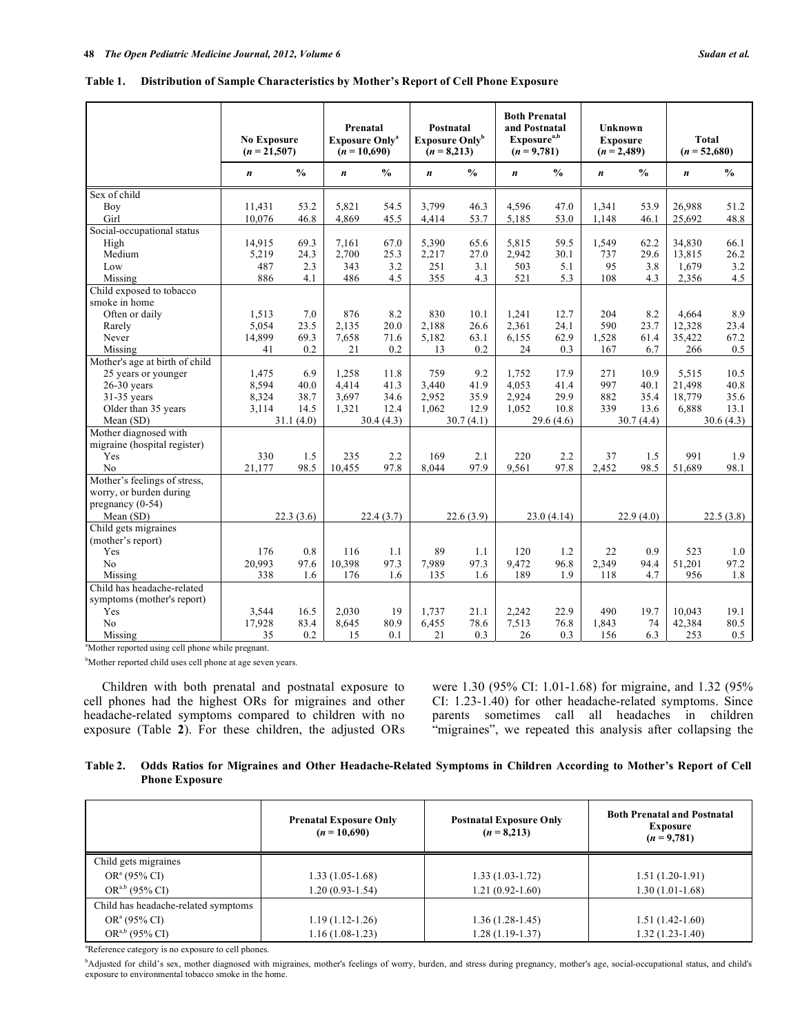| Table 1. Distribution of Sample Characteristics by Mother's Report of Cell Phone Exposure |  |  |
|-------------------------------------------------------------------------------------------|--|--|
|                                                                                           |  |  |

|                                | <b>No Exposure</b><br>$(n = 21,507)$ |               | Prenatal<br><b>Exposure Only<sup>a</sup></b><br>$(n = 10,690)$ |               | Postnatal<br><b>Exposure Only</b> <sup>b</sup><br>$(n = 8,213)$ |               | <b>Both Prenatal</b><br>and Postnatal<br>Exposure <sup>a,b</sup><br>$(n = 9,781)$ |               | <b>Unknown</b><br><b>Exposure</b><br>$(n = 2,489)$ |               | <b>Total</b><br>$(n = 52,680)$ |               |
|--------------------------------|--------------------------------------|---------------|----------------------------------------------------------------|---------------|-----------------------------------------------------------------|---------------|-----------------------------------------------------------------------------------|---------------|----------------------------------------------------|---------------|--------------------------------|---------------|
|                                | $\boldsymbol{n}$                     | $\frac{0}{0}$ | $\boldsymbol{n}$                                               | $\frac{0}{0}$ | $\boldsymbol{n}$                                                | $\frac{0}{0}$ | $\boldsymbol{n}$                                                                  | $\frac{0}{0}$ | $\boldsymbol{n}$                                   | $\frac{0}{0}$ | $\boldsymbol{n}$               | $\frac{0}{0}$ |
| Sex of child                   |                                      |               |                                                                |               |                                                                 |               |                                                                                   |               |                                                    |               |                                |               |
| Boy                            | 11,431                               | 53.2          | 5,821                                                          | 54.5          | 3,799                                                           | 46.3          | 4,596                                                                             | 47.0          | 1,341                                              | 53.9          | 26,988                         | 51.2          |
| Girl                           | 10.076                               | 46.8          | 4.869                                                          | 45.5          | 4,414                                                           | 53.7          | 5,185                                                                             | 53.0          | 1.148                                              | 46.1          | 25,692                         | 48.8          |
| Social-occupational status     |                                      |               |                                                                |               |                                                                 |               |                                                                                   |               |                                                    |               |                                |               |
| High                           | 14,915                               | 69.3          | 7,161                                                          | 67.0          | 5,390                                                           | 65.6          | 5,815                                                                             | 59.5          | 1,549                                              | 62.2          | 34,830                         | 66.1          |
| Medium                         | 5,219                                | 24.3          | 2,700                                                          | 25.3          | 2,217                                                           | 27.0          | 2,942                                                                             | 30.1          | 737                                                | 29.6          | 13.815                         | 26.2          |
| Low                            | 487                                  | 2.3           | 343                                                            | 3.2           | 251                                                             | 3.1           | 503                                                                               | 5.1           | 95                                                 | 3.8           | 1,679                          | 3.2           |
| Missing                        | 886                                  | 4.1           | 486                                                            | 4.5           | 355                                                             | 4.3           | 521                                                                               | 5.3           | 108                                                | 4.3           | 2,356                          | 4.5           |
| Child exposed to tobacco       |                                      |               |                                                                |               |                                                                 |               |                                                                                   |               |                                                    |               |                                |               |
| smoke in home                  |                                      |               |                                                                |               |                                                                 |               |                                                                                   |               |                                                    |               |                                |               |
| Often or daily                 | 1,513                                | 7.0           | 876                                                            | 8.2           | 830                                                             | 10.1          | 1,241                                                                             | 12.7          | 204                                                | 8.2           | 4,664                          | 8.9           |
| Rarely                         | 5,054                                | 23.5          | 2,135                                                          | 20.0          | 2,188                                                           | 26.6          | 2,361                                                                             | 24.1          | 590                                                | 23.7          | 12,328                         | 23.4          |
| Never                          | 14,899                               | 69.3          | 7,658                                                          | 71.6          | 5,182                                                           | 63.1          | 6,155                                                                             | 62.9          | 1,528                                              | 61.4          | 35,422                         | 67.2          |
| Missing                        | 41                                   | 0.2           | 21                                                             | 0.2           | 13                                                              | 0.2           | 24                                                                                | 0.3           | 167                                                | 6.7           | 266                            | 0.5           |
| Mother's age at birth of child |                                      |               |                                                                |               |                                                                 |               |                                                                                   |               |                                                    |               |                                |               |
| 25 years or younger            | 1,475                                | 6.9           | 1,258                                                          | 11.8          | 759                                                             | 9.2           | 1.752                                                                             | 17.9          | 271                                                | 10.9          | 5,515                          | 10.5          |
| $26-30$ years                  | 8,594                                | 40.0          | 4,414                                                          | 41.3          | 3,440                                                           | 41.9          | 4,053                                                                             | 41.4          | 997                                                | 40.1          | 21,498                         | 40.8          |
| 31-35 years                    | 8,324                                | 38.7          | 3,697                                                          | 34.6          | 2,952                                                           | 35.9          | 2,924                                                                             | 29.9          | 882                                                | 35.4          | 18,779                         | 35.6          |
| Older than 35 years            | 3,114                                | 14.5          | 1.321                                                          | 12.4          | 1.062                                                           | 12.9          | 1.052                                                                             | 10.8          | 339                                                | 13.6          | 6.888                          | 13.1          |
| Mean (SD)                      |                                      | 31.1(4.0)     |                                                                | 30.4(4.3)     |                                                                 | 30.7(4.1)     |                                                                                   | 29.6(4.6)     |                                                    | 30.7(4.4)     |                                | 30.6(4.3)     |
| Mother diagnosed with          |                                      |               |                                                                |               |                                                                 |               |                                                                                   |               |                                                    |               |                                |               |
| migraine (hospital register)   |                                      |               |                                                                |               |                                                                 |               |                                                                                   |               |                                                    |               |                                |               |
| Yes                            | 330                                  | 1.5           | 235                                                            | 2.2           | 169                                                             | 2.1           | 220                                                                               | 2.2           | 37                                                 | 1.5           | 991                            | 1.9           |
| No                             | 21,177                               | 98.5          | 10,455                                                         | 97.8          | 8,044                                                           | 97.9          | 9,561                                                                             | 97.8          | 2,452                                              | 98.5          | 51.689                         | 98.1          |
| Mother's feelings of stress,   |                                      |               |                                                                |               |                                                                 |               |                                                                                   |               |                                                    |               |                                |               |
| worry, or burden during        |                                      |               |                                                                |               |                                                                 |               |                                                                                   |               |                                                    |               |                                |               |
| pregnancy $(0-54)$             |                                      |               |                                                                |               |                                                                 |               |                                                                                   |               |                                                    |               |                                |               |
| Mean (SD)                      | 22.3(3.6)                            |               | 22.4(3.7)                                                      |               | 22.6(3.9)                                                       |               | 23.0(4.14)                                                                        |               | 22.9(4.0)                                          |               | 22.5(3.8)                      |               |
| Child gets migraines           |                                      |               |                                                                |               |                                                                 |               |                                                                                   |               |                                                    |               |                                |               |
| (mother's report)              |                                      |               |                                                                |               |                                                                 |               |                                                                                   |               |                                                    |               |                                |               |
| Yes                            | 176                                  | 0.8           | 116                                                            | 1.1           | 89                                                              | 1.1           | 120                                                                               | 1.2           | 22                                                 | 0.9           | 523                            | 1.0           |
| No                             | 20,993                               | 97.6          | 10,398                                                         | 97.3          | 7,989                                                           | 97.3          | 9,472                                                                             | 96.8          | 2,349                                              | 94.4          | 51,201                         | 97.2          |
| Missing                        | 338                                  | 1.6           | 176                                                            | 1.6           | 135                                                             | 1.6           | 189                                                                               | 1.9           | 118                                                | 4.7           | 956                            | 1.8           |
| Child has headache-related     |                                      |               |                                                                |               |                                                                 |               |                                                                                   |               |                                                    |               |                                |               |
| symptoms (mother's report)     |                                      |               |                                                                |               |                                                                 |               |                                                                                   |               |                                                    |               |                                |               |
| Yes                            | 3,544                                | 16.5          | 2,030                                                          | 19            | 1,737                                                           | 21.1          | 2,242                                                                             | 22.9          | 490                                                | 19.7          | 10,043                         | 19.1          |
| N <sub>0</sub>                 | 17,928                               | 83.4          | 8,645                                                          | 80.9          | 6,455                                                           | 78.6          | 7,513                                                                             | 76.8          | 1,843                                              | 74            | 42,384                         | 80.5          |
| Missing                        | 35                                   | 0.2           | 15                                                             | 0.1           | 21                                                              | 0.3           | 26                                                                                | 0.3           | 156                                                | 6.3           | 253                            | 0.5           |

a Mother reported using cell phone while pregnant.

<sup>b</sup>Mother reported child uses cell phone at age seven years.

 Children with both prenatal and postnatal exposure to cell phones had the highest ORs for migraines and other headache-related symptoms compared to children with no exposure (Table **2**). For these children, the adjusted ORs were 1.30 (95% CI: 1.01-1.68) for migraine, and 1.32 (95% CI: 1.23-1.40) for other headache-related symptoms. Since parents sometimes call all headaches in children "migraines", we repeated this analysis after collapsing the

**Table 2. Odds Ratios for Migraines and Other Headache-Related Symptoms in Children According to Mother's Report of Cell Phone Exposure** 

|                                     | <b>Prenatal Exposure Only</b><br>$(n = 10,690)$ | <b>Postnatal Exposure Only</b><br>$(n = 8,213)$ | <b>Both Prenatal and Postnatal</b><br><b>Exposure</b><br>$(n=9,781)$ |  |  |
|-------------------------------------|-------------------------------------------------|-------------------------------------------------|----------------------------------------------------------------------|--|--|
| Child gets migraines                |                                                 |                                                 |                                                                      |  |  |
| $OR^a(95\% CI)$                     | $1.33(1.05-1.68)$                               | $1.33(1.03-1.72)$                               | $1.51(1.20-1.91)$                                                    |  |  |
| $OR^{a,b}$ (95% CI)                 | $1.20(0.93 - 1.54)$                             | 1.21 (0.92-1.60)                                | $1.30(1.01-1.68)$                                                    |  |  |
| Child has headache-related symptoms |                                                 |                                                 |                                                                      |  |  |
| $OR^a(95\% CI)$                     | $1.19(1.12-1.26)$                               | $1.36(1.28-1.45)$                               | $1.51(1.42-1.60)$                                                    |  |  |
| $OR^{a,b}$ (95% CI)                 | $1.16(1.08-1.23)$                               | 1.28 (1.19-1.37)                                | $1.32(1.23-1.40)$                                                    |  |  |

<sup>a</sup>Reference category is no exposure to cell phones.

<sup>b</sup>Adjusted for child's sex, mother diagnosed with migraines, mother's feelings of worry, burden, and stress during pregnancy, mother's age, social-occupational status, and child's exposure to environmental tobacco smoke in the home.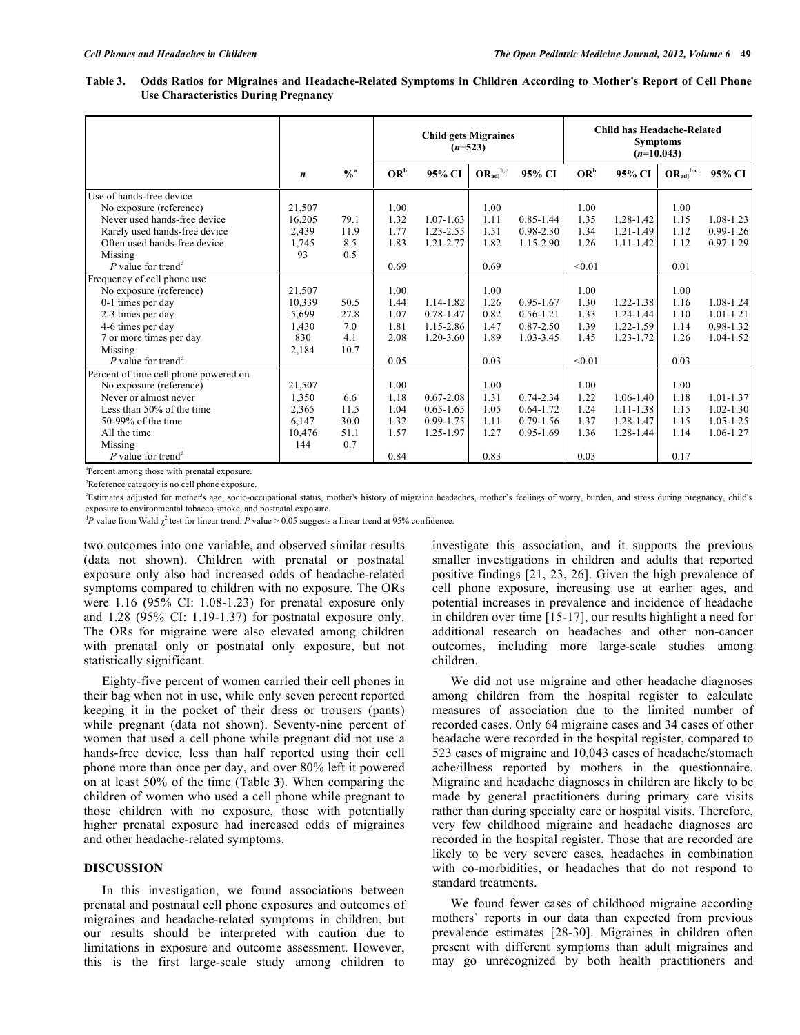| Table 3. Odds Ratios for Migraines and Headache-Related Symptoms in Children According to Mother's Report of Cell Phone |
|-------------------------------------------------------------------------------------------------------------------------|
| Use Characteristics During Pregnancy                                                                                    |

|                                       |        |               | <b>Child gets Migraines</b><br>$(n=523)$ |               |                                |               | Child has Headache-Related<br><b>Symptoms</b><br>$(n=10,043)$ |               |                                |               |
|---------------------------------------|--------|---------------|------------------------------------------|---------------|--------------------------------|---------------|---------------------------------------------------------------|---------------|--------------------------------|---------------|
|                                       | n      | $\frac{0}{a}$ | $OR^b$                                   | 95% CI        | $OR_{\text{adj}}^{\text{b,c}}$ | 95% CI        | $OR^b$                                                        | 95% CI        | $OR_{\text{adj}}^{\text{b,c}}$ | 95% CI        |
| Use of hands-free device              |        |               |                                          |               |                                |               |                                                               |               |                                |               |
| No exposure (reference)               | 21,507 |               | 1.00                                     |               | 1.00                           |               | 1.00                                                          |               | 1.00                           |               |
| Never used hands-free device          | 16,205 | 79.1          | 1.32                                     | $1.07 - 1.63$ | 1.11                           | $0.85 - 1.44$ | 1.35                                                          | 1.28-1.42     | 1.15                           | $1.08 - 1.23$ |
| Rarely used hands-free device         | 2,439  | 11.9          | 1.77                                     | $1.23 - 2.55$ | 1.51                           | $0.98 - 2.30$ | 1.34                                                          | 1.21-1.49     | 1.12                           | $0.99 - 1.26$ |
| Often used hands-free device          | 1,745  | 8.5           | 1.83                                     | $1.21 - 2.77$ | 1.82                           | 1.15-2.90     | 1.26                                                          | $1.11 - 1.42$ | 1.12                           | $0.97 - 1.29$ |
| Missing                               | 93     | 0.5           |                                          |               |                                |               |                                                               |               |                                |               |
| P value for trend <sup>d</sup>        |        |               | 0.69                                     |               | 0.69                           |               | < 0.01                                                        |               | 0.01                           |               |
| Frequency of cell phone use           |        |               |                                          |               |                                |               |                                                               |               |                                |               |
| No exposure (reference)               | 21,507 |               | 1.00                                     |               | 1.00                           |               | 1.00                                                          |               | 1.00                           |               |
| 0-1 times per day                     | 10,339 | 50.5          | 1.44                                     | 1.14-1.82     | 1.26                           | 0.95-1.67     | 1.30                                                          | 1.22-1.38     | 1.16                           | $1.08 - 1.24$ |
| 2-3 times per day                     | 5,699  | 27.8          | 1.07                                     | $0.78 - 1.47$ | 0.82                           | $0.56 - 1.21$ | 1.33                                                          | 1.24-1.44     | 1.10                           | $1.01 - 1.21$ |
| 4-6 times per day                     | 1,430  | 7.0           | 1.81                                     | 1.15-2.86     | 1.47                           | $0.87 - 2.50$ | 1.39                                                          | 1.22-1.59     | 1.14                           | $0.98 - 1.32$ |
| 7 or more times per day               | 830    | 4.1           | 2.08                                     | $1.20 - 3.60$ | 1.89                           | 1.03-3.45     | 1.45                                                          | 1.23-1.72     | 1.26                           | $1.04 - 1.52$ |
| Missing                               | 2,184  | 10.7          |                                          |               |                                |               |                                                               |               |                                |               |
| P value for trend <sup>d</sup>        |        |               | 0.05                                     |               | 0.03                           |               | < 0.01                                                        |               | 0.03                           |               |
| Percent of time cell phone powered on |        |               |                                          |               |                                |               |                                                               |               |                                |               |
| No exposure (reference)               | 21,507 |               | 1.00                                     |               | 1.00                           |               | 1.00                                                          |               | 1.00                           |               |
| Never or almost never                 | 1,350  | 6.6           | 1.18                                     | $0.67 - 2.08$ | 1.31                           | 0.74-2.34     | 1.22                                                          | 1.06-1.40     | 1.18                           | $1.01 - 1.37$ |
| Less than 50% of the time             | 2,365  | 11.5          | 1.04                                     | $0.65 - 1.65$ | 1.05                           | $0.64 - 1.72$ | 1.24                                                          | $1.11 - 1.38$ | 1.15                           | $1.02 - 1.30$ |
| $50-99\%$ of the time                 | 6,147  | 30.0          | 1.32                                     | 0.99-1.75     | 1.11                           | $0.79 - 1.56$ | 1.37                                                          | 1.28-1.47     | 1.15                           | $1.05 - 1.25$ |
| All the time                          | 10,476 | 51.1          | 1.57                                     | 1.25-1.97     | 1.27                           | $0.95 - 1.69$ | 1.36                                                          | 1.28-1.44     | 1.14                           | $1.06 - 1.27$ |
| Missing                               | 144    | 0.7           |                                          |               |                                |               |                                                               |               |                                |               |
| P value for trend <sup>d</sup>        |        |               | 0.84                                     |               | 0.83                           |               | 0.03                                                          |               | 0.17                           |               |

a Percent among those with prenatal exposure.

<sup>b</sup>Reference category is no cell phone exposure.

c Estimates adjusted for mother's age, socio-occupational status, mother's history of migraine headaches, mother's feelings of worry, burden, and stress during pregnancy, child's exposure to environmental tobacco smoke, and postnatal exposure.

<sup>d</sup>P value from Wald  $\chi^2$  test for linear trend. *P* value > 0.05 suggests a linear trend at 95% confidence.

two outcomes into one variable, and observed similar results (data not shown). Children with prenatal or postnatal exposure only also had increased odds of headache-related symptoms compared to children with no exposure. The ORs were 1.16 (95% CI: 1.08-1.23) for prenatal exposure only and 1.28 (95% CI: 1.19-1.37) for postnatal exposure only. The ORs for migraine were also elevated among children with prenatal only or postnatal only exposure, but not statistically significant.

 Eighty-five percent of women carried their cell phones in their bag when not in use, while only seven percent reported keeping it in the pocket of their dress or trousers (pants) while pregnant (data not shown). Seventy-nine percent of women that used a cell phone while pregnant did not use a hands-free device, less than half reported using their cell phone more than once per day, and over 80% left it powered on at least 50% of the time (Table **3**). When comparing the children of women who used a cell phone while pregnant to those children with no exposure, those with potentially higher prenatal exposure had increased odds of migraines and other headache-related symptoms.

### **DISCUSSION**

 In this investigation, we found associations between prenatal and postnatal cell phone exposures and outcomes of migraines and headache-related symptoms in children, but our results should be interpreted with caution due to limitations in exposure and outcome assessment. However, this is the first large-scale study among children to

investigate this association, and it supports the previous smaller investigations in children and adults that reported positive findings [21, 23, 26]. Given the high prevalence of cell phone exposure, increasing use at earlier ages, and potential increases in prevalence and incidence of headache in children over time [15-17], our results highlight a need for additional research on headaches and other non-cancer outcomes, including more large-scale studies among children.

 We did not use migraine and other headache diagnoses among children from the hospital register to calculate measures of association due to the limited number of recorded cases. Only 64 migraine cases and 34 cases of other headache were recorded in the hospital register, compared to 523 cases of migraine and 10,043 cases of headache/stomach ache/illness reported by mothers in the questionnaire. Migraine and headache diagnoses in children are likely to be made by general practitioners during primary care visits rather than during specialty care or hospital visits. Therefore, very few childhood migraine and headache diagnoses are recorded in the hospital register. Those that are recorded are likely to be very severe cases, headaches in combination with co-morbidities, or headaches that do not respond to standard treatments.

 We found fewer cases of childhood migraine according mothers' reports in our data than expected from previous prevalence estimates [28-30]. Migraines in children often present with different symptoms than adult migraines and may go unrecognized by both health practitioners and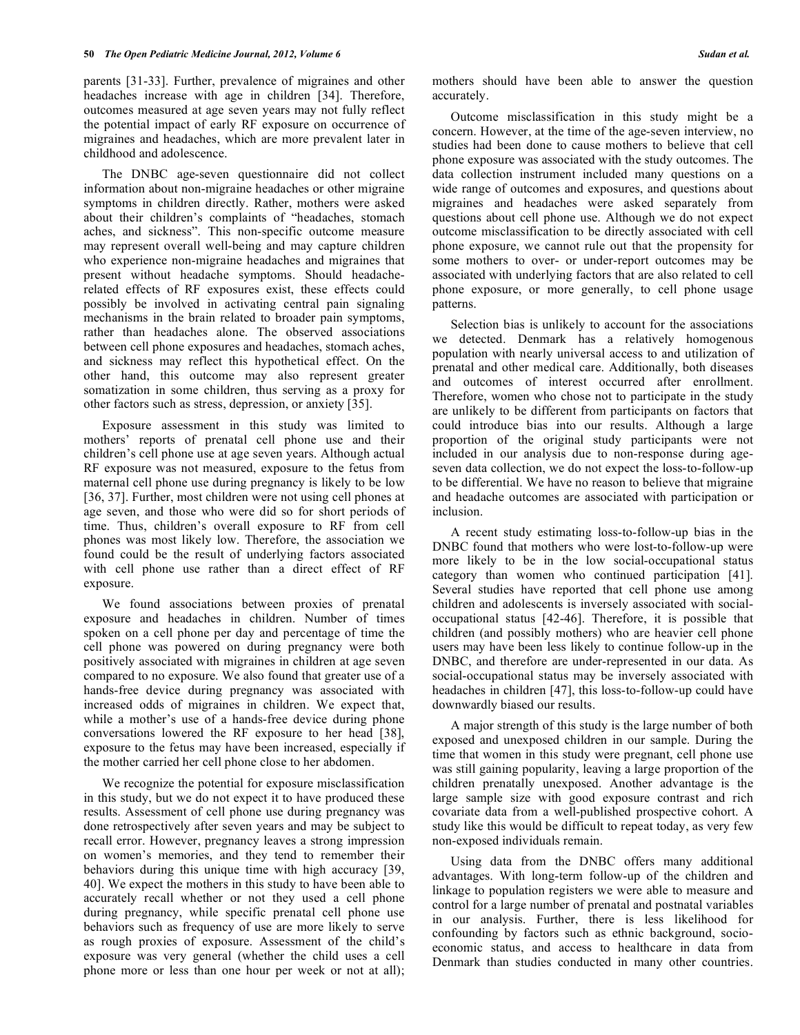parents [31-33]. Further, prevalence of migraines and other headaches increase with age in children [34]. Therefore, outcomes measured at age seven years may not fully reflect the potential impact of early RF exposure on occurrence of migraines and headaches, which are more prevalent later in childhood and adolescence.

 The DNBC age-seven questionnaire did not collect information about non-migraine headaches or other migraine symptoms in children directly. Rather, mothers were asked about their children's complaints of "headaches, stomach aches, and sickness". This non-specific outcome measure may represent overall well-being and may capture children who experience non-migraine headaches and migraines that present without headache symptoms. Should headacherelated effects of RF exposures exist, these effects could possibly be involved in activating central pain signaling mechanisms in the brain related to broader pain symptoms, rather than headaches alone. The observed associations between cell phone exposures and headaches, stomach aches, and sickness may reflect this hypothetical effect. On the other hand, this outcome may also represent greater somatization in some children, thus serving as a proxy for other factors such as stress, depression, or anxiety [35].

 Exposure assessment in this study was limited to mothers' reports of prenatal cell phone use and their children's cell phone use at age seven years. Although actual RF exposure was not measured, exposure to the fetus from maternal cell phone use during pregnancy is likely to be low [36, 37]. Further, most children were not using cell phones at age seven, and those who were did so for short periods of time. Thus, children's overall exposure to RF from cell phones was most likely low. Therefore, the association we found could be the result of underlying factors associated with cell phone use rather than a direct effect of RF exposure.

 We found associations between proxies of prenatal exposure and headaches in children. Number of times spoken on a cell phone per day and percentage of time the cell phone was powered on during pregnancy were both positively associated with migraines in children at age seven compared to no exposure. We also found that greater use of a hands-free device during pregnancy was associated with increased odds of migraines in children. We expect that, while a mother's use of a hands-free device during phone conversations lowered the RF exposure to her head [38], exposure to the fetus may have been increased, especially if the mother carried her cell phone close to her abdomen.

 We recognize the potential for exposure misclassification in this study, but we do not expect it to have produced these results. Assessment of cell phone use during pregnancy was done retrospectively after seven years and may be subject to recall error. However, pregnancy leaves a strong impression on women's memories, and they tend to remember their behaviors during this unique time with high accuracy [39, 40]. We expect the mothers in this study to have been able to accurately recall whether or not they used a cell phone during pregnancy, while specific prenatal cell phone use behaviors such as frequency of use are more likely to serve as rough proxies of exposure. Assessment of the child's exposure was very general (whether the child uses a cell phone more or less than one hour per week or not at all);

mothers should have been able to answer the question accurately.

 Outcome misclassification in this study might be a concern. However, at the time of the age-seven interview, no studies had been done to cause mothers to believe that cell phone exposure was associated with the study outcomes. The data collection instrument included many questions on a wide range of outcomes and exposures, and questions about migraines and headaches were asked separately from questions about cell phone use. Although we do not expect outcome misclassification to be directly associated with cell phone exposure, we cannot rule out that the propensity for some mothers to over- or under-report outcomes may be associated with underlying factors that are also related to cell phone exposure, or more generally, to cell phone usage patterns.

 Selection bias is unlikely to account for the associations we detected. Denmark has a relatively homogenous population with nearly universal access to and utilization of prenatal and other medical care. Additionally, both diseases and outcomes of interest occurred after enrollment. Therefore, women who chose not to participate in the study are unlikely to be different from participants on factors that could introduce bias into our results. Although a large proportion of the original study participants were not included in our analysis due to non-response during ageseven data collection, we do not expect the loss-to-follow-up to be differential. We have no reason to believe that migraine and headache outcomes are associated with participation or inclusion.

 A recent study estimating loss-to-follow-up bias in the DNBC found that mothers who were lost-to-follow-up were more likely to be in the low social-occupational status category than women who continued participation [41]. Several studies have reported that cell phone use among children and adolescents is inversely associated with socialoccupational status [42-46]. Therefore, it is possible that children (and possibly mothers) who are heavier cell phone users may have been less likely to continue follow-up in the DNBC, and therefore are under-represented in our data. As social-occupational status may be inversely associated with headaches in children [47], this loss-to-follow-up could have downwardly biased our results.

 A major strength of this study is the large number of both exposed and unexposed children in our sample. During the time that women in this study were pregnant, cell phone use was still gaining popularity, leaving a large proportion of the children prenatally unexposed. Another advantage is the large sample size with good exposure contrast and rich covariate data from a well-published prospective cohort. A study like this would be difficult to repeat today, as very few non-exposed individuals remain.

 Using data from the DNBC offers many additional advantages. With long-term follow-up of the children and linkage to population registers we were able to measure and control for a large number of prenatal and postnatal variables in our analysis. Further, there is less likelihood for confounding by factors such as ethnic background, socioeconomic status, and access to healthcare in data from Denmark than studies conducted in many other countries.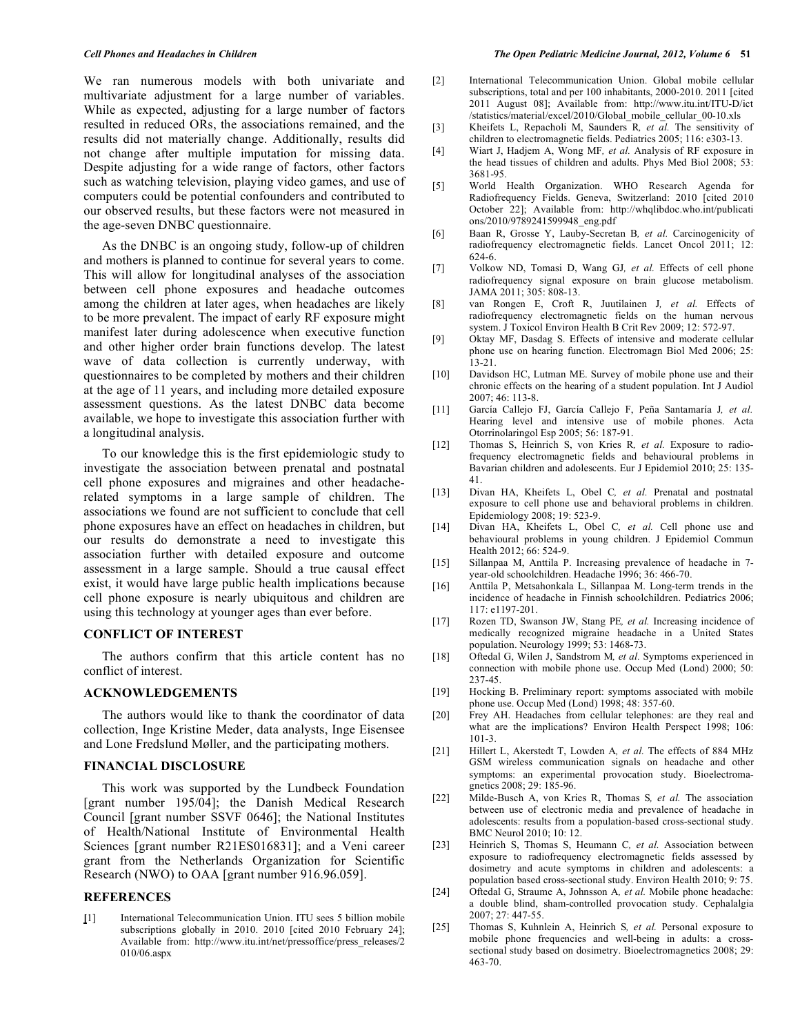We ran numerous models with both univariate and multivariate adjustment for a large number of variables. While as expected, adjusting for a large number of factors resulted in reduced ORs, the associations remained, and the results did not materially change. Additionally, results did not change after multiple imputation for missing data. Despite adjusting for a wide range of factors, other factors such as watching television, playing video games, and use of computers could be potential confounders and contributed to our observed results, but these factors were not measured in the age-seven DNBC questionnaire.

 As the DNBC is an ongoing study, follow-up of children and mothers is planned to continue for several years to come. This will allow for longitudinal analyses of the association between cell phone exposures and headache outcomes among the children at later ages, when headaches are likely to be more prevalent. The impact of early RF exposure might manifest later during adolescence when executive function and other higher order brain functions develop. The latest wave of data collection is currently underway, with questionnaires to be completed by mothers and their children at the age of 11 years, and including more detailed exposure assessment questions. As the latest DNBC data become available, we hope to investigate this association further with a longitudinal analysis.

 To our knowledge this is the first epidemiologic study to investigate the association between prenatal and postnatal cell phone exposures and migraines and other headacherelated symptoms in a large sample of children. The associations we found are not sufficient to conclude that cell phone exposures have an effect on headaches in children, but our results do demonstrate a need to investigate this association further with detailed exposure and outcome assessment in a large sample. Should a true causal effect exist, it would have large public health implications because cell phone exposure is nearly ubiquitous and children are using this technology at younger ages than ever before.

#### **CONFLICT OF INTEREST**

 The authors confirm that this article content has no conflict of interest.

### **ACKNOWLEDGEMENTS**

 The authors would like to thank the coordinator of data collection, Inge Kristine Meder, data analysts, Inge Eisensee and Lone Fredslund Møller, and the participating mothers.

## **FINANCIAL DISCLOSURE**

 This work was supported by the Lundbeck Foundation [grant number 195/04]; the Danish Medical Research Council [grant number SSVF 0646]; the National Institutes of Health/National Institute of Environmental Health Sciences [grant number R21ES016831]; and a Veni career grant from the Netherlands Organization for Scientific Research (NWO) to OAA [grant number 916.96.059].

#### **REFERENCES**

**[**1] International Telecommunication Union. ITU sees 5 billion mobile subscriptions globally in 2010. 2010 [cited 2010 February 24]; Available from: http://www.itu.int/net/pressoffice/press\_releases/2 010/06.aspx

- [2] International Telecommunication Union. Global mobile cellular subscriptions, total and per 100 inhabitants, 2000-2010. 2011 [cited 2011 August 08]; Available from: http://www.itu.int/ITU-D/ict /statistics/material/excel/2010/Global\_mobile\_cellular\_00-10.xls
- [3] Kheifets L, Repacholi M, Saunders R*, et al.* The sensitivity of children to electromagnetic fields. Pediatrics 2005; 116: e303-13.
- [4] Wiart J, Hadjem A, Wong MF*, et al.* Analysis of RF exposure in the head tissues of children and adults. Phys Med Biol 2008; 53: 3681-95.
- [5] World Health Organization. WHO Research Agenda for Radiofrequency Fields. Geneva, Switzerland: 2010 [cited 2010 October 22]; Available from: http://whqlibdoc.who.int/publicati ons/2010/9789241599948\_eng.pdf
- [6] Baan R, Grosse Y, Lauby-Secretan B*, et al.* Carcinogenicity of radiofrequency electromagnetic fields. Lancet Oncol 2011; 12: 624-6.
- [7] Volkow ND, Tomasi D, Wang GJ*, et al.* Effects of cell phone radiofrequency signal exposure on brain glucose metabolism. JAMA 2011; 305: 808-13.
- [8] van Rongen E, Croft R, Juutilainen J*, et al.* Effects of radiofrequency electromagnetic fields on the human nervous system. J Toxicol Environ Health B Crit Rev 2009; 12: 572-97.
- [9] Oktay MF, Dasdag S. Effects of intensive and moderate cellular phone use on hearing function. Electromagn Biol Med 2006; 25: 13-21.
- [10] Davidson HC, Lutman ME. Survey of mobile phone use and their chronic effects on the hearing of a student population. Int J Audiol 2007; 46: 113-8.
- [11] García Callejo FJ, García Callejo F, Peña Santamaría J*, et al.* Hearing level and intensive use of mobile phones. Acta Otorrinolaringol Esp 2005; 56: 187-91.
- [12] Thomas S, Heinrich S, von Kries R*, et al.* Exposure to radiofrequency electromagnetic fields and behavioural problems in Bavarian children and adolescents. Eur J Epidemiol 2010; 25: 135- 41.
- [13] Divan HA, Kheifets L, Obel C*, et al.* Prenatal and postnatal exposure to cell phone use and behavioral problems in children. Epidemiology 2008; 19: 523-9.
- [14] Divan HA, Kheifets L, Obel C*, et al.* Cell phone use and behavioural problems in young children. J Epidemiol Commun Health 2012; 66: 524-9.
- [15] Sillanpaa M, Anttila P. Increasing prevalence of headache in 7 year-old schoolchildren. Headache 1996; 36: 466-70.
- [16] Anttila P, Metsahonkala L, Sillanpaa M. Long-term trends in the incidence of headache in Finnish schoolchildren. Pediatrics 2006; 117: e1197-201.
- [17] Rozen TD, Swanson JW, Stang PE*, et al.* Increasing incidence of medically recognized migraine headache in a United States population. Neurology 1999; 53: 1468-73.
- [18] Oftedal G, Wilen J, Sandstrom M*, et al.* Symptoms experienced in connection with mobile phone use. Occup Med (Lond) 2000; 50: 237-45.
- [19] Hocking B. Preliminary report: symptoms associated with mobile phone use. Occup Med (Lond) 1998; 48: 357-60.
- [20] Frey AH. Headaches from cellular telephones: are they real and what are the implications? Environ Health Perspect 1998; 106: 101-3.
- [21] Hillert L, Akerstedt T, Lowden A*, et al.* The effects of 884 MHz GSM wireless communication signals on headache and other symptoms: an experimental provocation study. Bioelectromagnetics 2008; 29: 185-96.
- [22] Milde-Busch A, von Kries R, Thomas S*, et al.* The association between use of electronic media and prevalence of headache in adolescents: results from a population-based cross-sectional study. BMC Neurol 2010; 10: 12.
- [23] Heinrich S, Thomas S, Heumann C, et al. Association between exposure to radiofrequency electromagnetic fields assessed by dosimetry and acute symptoms in children and adolescents: a population based cross-sectional study. Environ Health 2010; 9: 75.
- [24] Oftedal G, Straume A, Johnsson A*, et al.* Mobile phone headache: a double blind, sham-controlled provocation study. Cephalalgia 2007; 27: 447-55.
- [25] Thomas S, Kuhnlein A, Heinrich S, et al. Personal exposure to mobile phone frequencies and well-being in adults: a crosssectional study based on dosimetry. Bioelectromagnetics 2008; 29: 463-70.